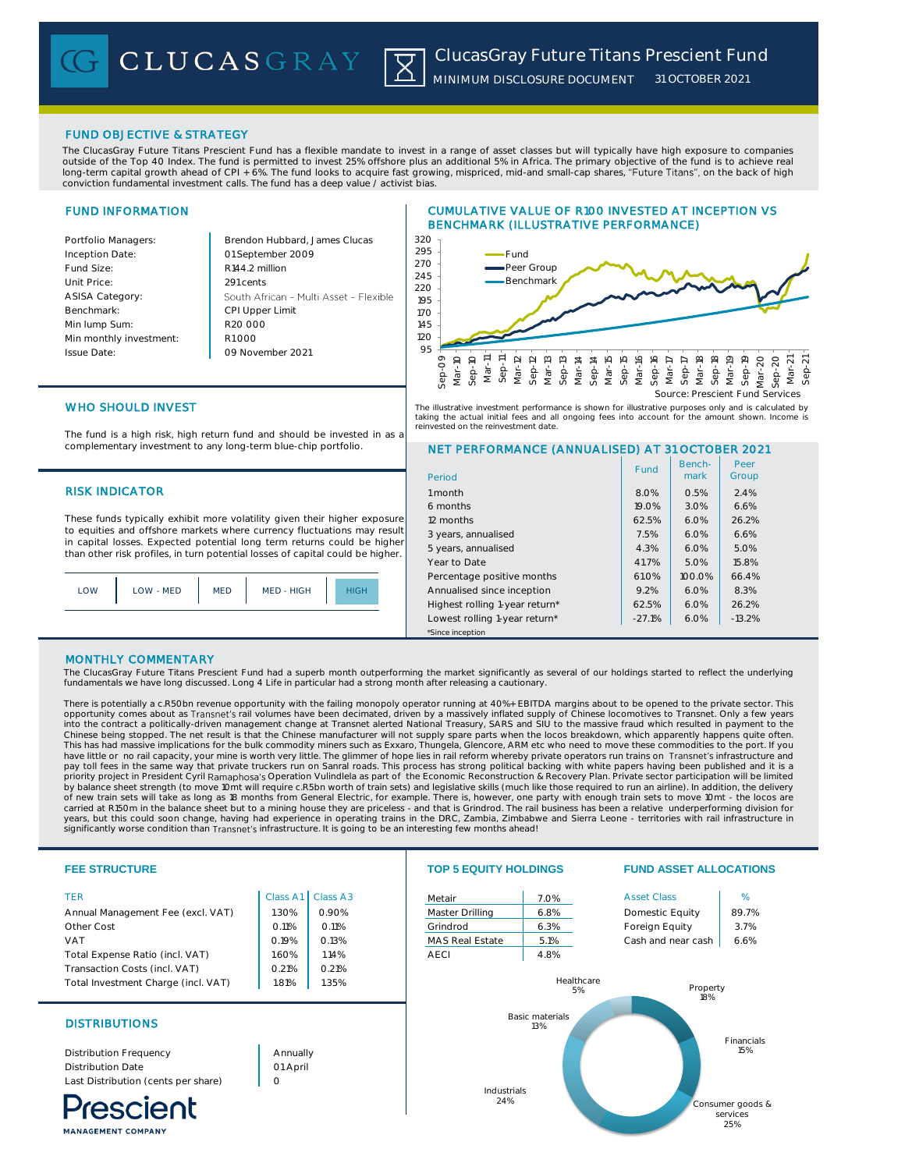CLUCASGRAY |X|

*MINIMUM DISCLOSURE DOCUMENT 31 OCTOBER 2021*

# FUND OBJECTIVE & STRATEGY

The ClucasGray Future Titans Prescient Fund has a flexible mandate to invest in a range of asset classes but will typically have high exposure to companies outside of the Top 40 Index. The fund is permitted to invest 25% offshore plus an additional 5% in Africa. The primary objective of the fund is to achieve real<br>long-term capital growth ahead of CPI + 6%. The fund looks to

# FUND INFORMATION

| Portfolio Managers:     | Brendon Hubbard, James Clucas          |  |  |
|-------------------------|----------------------------------------|--|--|
| Inception Date:         | 01 September 2009                      |  |  |
| Fund Size:              | R144.2 million                         |  |  |
| Unit Price:             | 291 cents                              |  |  |
| ASISA Category:         | South African - Multi Asset - Flexible |  |  |
| Benchmark:              | <b>CPI Upper Limit</b>                 |  |  |
| Min lump Sum:           | R <sub>20</sub> 000                    |  |  |
| Min monthly investment: | R1 000                                 |  |  |
| <b>Issue Date:</b>      | 09 November 2021                       |  |  |
|                         |                                        |  |  |

# CUMULATIVE VALUE OF R100 INVESTED AT INCEPTION VS BENCHMARK (ILLUSTRATIVE PERFORMANCE)



The illustrative investment performance is shown for illustrative purposes only and is calculated by taking the actual initial fees and all ongoing fees into account for the amount shown. Income is reinvested on the reinvestment date.

# WHO SHOULD INVEST

The fund is a high risk, high return fund and should be invested in as a complementary investment to any long-term blue-chip portfolio.

# **RISK INDICATOR**

These funds typically exhibit more volatility given their higher exposure to equities and offshore markets where currency fluctuations may result in capital losses. Expected potential long term returns could be higher than other risk profiles, in turn potential losses of capital could be higher.



# NET PERFORMANCE (ANNUALISED) AT 31 OCTOBER 2021

| Period                         | Fund     | Bench-<br>mark | Peer<br>Group |
|--------------------------------|----------|----------------|---------------|
| 1 month                        | 8.0%     | 0.5%           | 2.4%          |
| 6 months                       | 19.0%    | 3.0%           | 6.6%          |
| 12 months                      | 62.5%    | 6.0%           | 26.2%         |
| 3 years, annualised            | 7.5%     | 6.0%           | 6.6%          |
| 5 years, annualised            | 4.3%     | 6.0%           | 5.0%          |
| Year to Date                   | 41.7%    | 5.0%           | 15.8%         |
| Percentage positive months     | 61.0%    | 100.0%         | 66.4%         |
| Annualised since inception     | 9.2%     | 6.0%           | 8.3%          |
| Highest rolling 1-year return* | 62.5%    | 6.0%           | 26.2%         |
| Lowest rolling 1-year return*  | $-27.1%$ | 6.0%           | $-13.2%$      |
| *Since inception               |          |                |               |

# MONTHLY COMMENTARY

MANAGEMENT COMPANY

The ClucasGray Future Titans Prescient Fund had a superb month outperforming the market significantly as several of our holdings started to reflect the underlying<br>fundamentals we have long discussed. Long 4 Life in particu

There is potentially a c.R50bn revenue opportunity with the failing monopoly operator running at 40%+ EBITDA margins about to be opened to the private sector. This<br>opportunity comes about as Transnet's rail volumes have be into the contract a politically-driven management change at Transnet alerted National Treasury, SARS and SIU to the massive fraud which resulted in payment to the Chinese being stopped. The net result is that the Chinese manufacturer will not supply spare parts when the locos breakdown, which apparently happens quite often.<br>This has had massive implications for the bulk commodity mi have little or no rail capacity, your mine is worth very little. The glimmer of hope lies in rail reform whereby private operators run trains on Transnet's infrastructure and pay toll fees in the same way that private truckers run on Sanral roads. This process has strong political backing with white papers having been published and it is a<br>priority project in President Cyril Ramaphosa's Operati by balance sheet strength (to move 10mt will require c.R5bn worth of train sets) and legislative skills (much like those required to run an airline). In addition, the delivery of new train sets will take as long as 18 months from General Electric, for example. There is, however, one party with enough train sets to move 10mt - the locos are<br>carried at R150m in the balance sheet but to a mining ho years, but this could soon change, having had experience in operating trains in the DRC, Zambia, Zimbabwe and Sierra Leone - territories with rail infrastructure in<br>significantly worse condition than Transnet's infrastruct

### **FEE STRUCTURE TOP 5 EQUITY HOLDINGS FUND ASSET ALLOCATIONS** TER Class A1 Class A3 Metair 7.0% Asset Class % Annual Management Fee (excl. VAT)  $\begin{array}{|c|c|c|c|c|c|c|c|} \hline \end{array}$  1.30% | 0.90% Master Drilling | 6.8% Domestic Equity | 89.7% Other Cost 1991 Cost 1991 Cost 1991 Cost 1991 Cost 1991 Cost 1991 Cost 1991 Cost 1991 Cost 1991 Cost 1991 Cost VAT Cash and near cash 6.6% 0.19% 0.13% MAS Real Estate 5.1% Cash and near cash 6.6% Total Expense Ratio (incl. VAT)  $\begin{array}{|c|c|c|c|c|c|c|c|c|} \hline \end{array}$  1.60% | 1.14% AECI 4.8% Transaction Costs (incl. VAT) 0.21% 0.21% 0.21% Healthcare Total Investment Charge (incl. VAT) | 1.81% | 1.35% Property 5% 18% Basic materials DISTRIBUTIONS 13% Financials Annually 15% Distribution Frequency Distribution Date 01 April Last Distribution (cents per share)  $\Omega$ Industrials **'rescient** 24% Consumer goods & services 25%